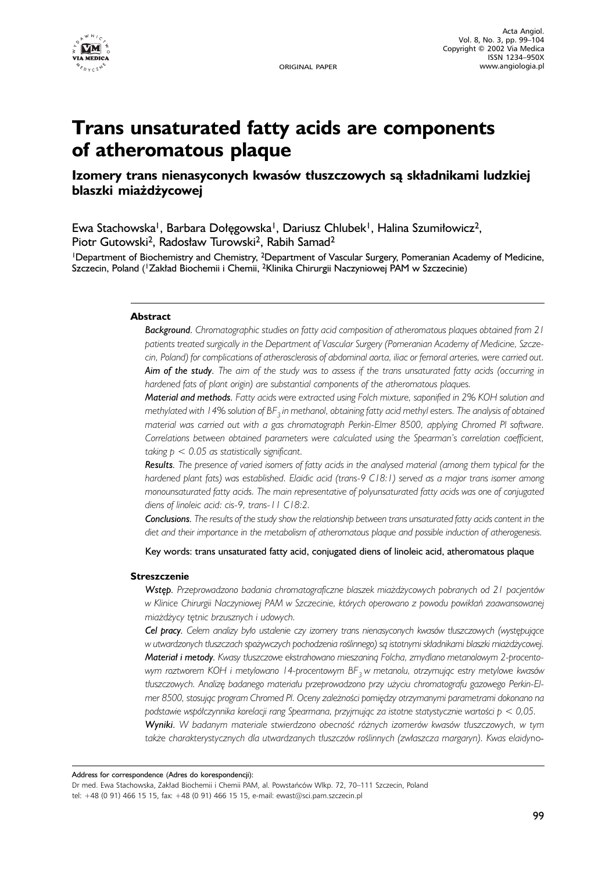

# **Trans unsaturated fatty acids are components of atheromatous plaque**

# **Izomery trans nienasyconych kwasów tłuszczowych są składnikami ludzkiej blaszki miażdżycowej**

Ewa Stachowska<sup>1</sup>, Barbara Dołęgowska<sup>1</sup>, Dariusz Chlubek<sup>1</sup>, Halina Szumiłowicz<sup>2</sup>, Piotr Gutowski<sup>2</sup>, Radosław Turowski<sup>2</sup>, Rabih Samad<sup>2</sup>

<sup>1</sup>Department of Biochemistry and Chemistry, <sup>2</sup>Department of Vascular Surgery, Pomeranian Academy of Medicine, Szczecin, Poland (1Zakład Biochemii i Chemii, 2Klinika Chirurgii Naczyniowej PAM w Szczecinie)

#### **Abstract**

*Background. Chromatographic studies on fatty acid composition of atheromatous plaques obtained from 21 patients treated surgically in the Department of Vascular Surgery (Pomeranian Academy of Medicine, Szczecin, Poland) for complications of atherosclerosis of abdominal aorta, iliac or femoral arteries, were carried out. Aim of the study. The aim of the study was to assess if the trans unsaturated fatty acids (occurring in hardened fats of plant origin) are substantial components of the atheromatous plaques.*

*Material and methods. Fatty acids were extracted using Folch mixture, saponified in 2% KOH solution and methylated with 14% solution of BF3 in methanol, obtaining fatty acid methyl esters. The analysis of obtained material was carried out with a gas chromatograph Perkin-Elmer 8500, applying Chromed Pl software. Correlations between obtained parameters were calculated using the Spearman's correlation coefficient, taking p < 0.05 as statistically significant.*

*Results. The presence of varied isomers of fatty acids in the analysed material (among them typical for the hardened plant fats) was established. Elaidic acid (trans-9 C18:1) served as a major trans isomer among monounsaturated fatty acids. The main representative of polyunsaturated fatty acids was one of conjugated diens of linoleic acid: cis-9, trans-11 C18:2.*

*Conclusions. The results of the study show the relationship between trans unsaturated fatty acids content in the diet and their importance in the metabolism of atheromatous plaque and possible induction of atherogenesis.*

Key words: trans unsaturated fatty acid, conjugated diens of linoleic acid, atheromatous plaque

#### **Streszczenie**

*Wstęp. Przeprowadzono badania chromatograficzne blaszek miażdżycowych pobranych od 21 pacjentów w Klinice Chirurgii Naczyniowej PAM w Szczecinie, których operowano z powodu powikłań zaawansowanej miażdżycy tętnic brzusznych i udowych.*

*Cel pracy. Celem analizy było ustalenie czy izomery trans nienasyconych kwasów tłuszczowych (występujące w utwardzonych tłuszczach spożywczych pochodzenia roślinnego) są istotnymi składnikami blaszki miażdżycowej. Materiał i metody. Kwasy tłuszczowe ekstrahowano mieszaniną Folcha, zmydlano metanolowym 2-procentowym roztworem KOH i metylowano 14-procentowym BF3 w metanolu, otrzymując estry metylowe kwasów tłuszczowych. Analizę badanego materiału przeprowadzono przy użyciu chromatografu gazowego Perkin-Elmer 8500, stosując program Chromed Pl. Oceny zależności pomiędzy otrzymanymi parametrami dokonano na podstawie współczynnika korelacji rang Spearmana, przyjmując za istotne statystycznie wartości p < 0,05.*

*Wyniki. W badanym materiale stwierdzono obecność różnych izomerów kwasów tłuszczowych, w tym także charakterystycznych dla utwardzanych tłuszczów roślinnych (zwłaszcza margaryn). Kwas elaidy*-

Address for correspondence (Adres do korespondencii):

Dr med. Ewa Stachowska, Zakład Biochemii i Chemii PAM, al. Powstańców Wlkp. 72, 70–111 Szczecin, Poland tel: +48 (0 91) 466 15 15, fax: +48 (0 91) 466 15 15, e-mail: ewast@sci.pam.szczecin.pl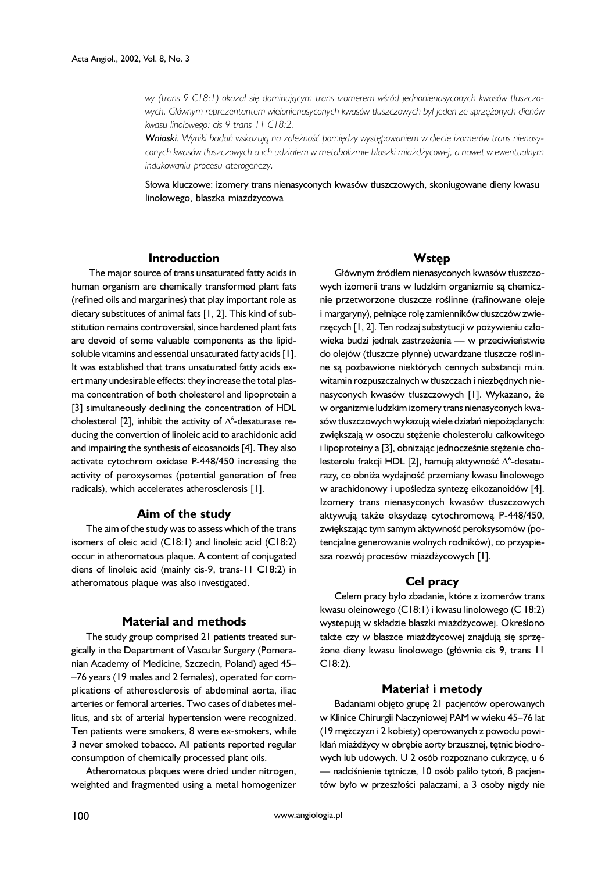*wy (trans 9 C18:1) okazał się dominującym trans izomerem wśród jednonienasyconych kwasów tłuszczowych. Głównym reprezentantem wielonienasyconych kwasów tłuszczowych był jeden ze sprzężonych dienów kwasu linolowego: cis 9 trans 11 C18:2.*

*Wnioski. Wyniki badań wskazują na zależność pomiędzy występowaniem w diecie izomerów trans nienasyconych kwasów tłuszczowych a ich udziałem w metabolizmie blaszki miażdżycowej, a nawet w ewentualnym indukowaniu procesu aterogenezy.*

Słowa kluczowe: izomery trans nienasyconych kwasów tłuszczowych, skoniugowane dieny kwasu linolowego, blaszka miażdżycowa

#### **Introduction**

The major source of trans unsaturated fatty acids in human organism are chemically transformed plant fats (refined oils and margarines) that play important role as dietary substitutes of animal fats [1, 2]. This kind of substitution remains controversial, since hardened plant fats are devoid of some valuable components as the lipidsoluble vitamins and essential unsaturated fatty acids [1]. It was established that trans unsaturated fatty acids exert many undesirable effects: they increase the total plasma concentration of both cholesterol and lipoprotein a [3] simultaneously declining the concentration of HDL cholesterol [2], inhibit the activity of  $\Delta^6$ -desaturase reducing the convertion of linoleic acid to arachidonic acid and impairing the synthesis of eicosanoids [4]. They also activate cytochrom oxidase P-448/450 increasing the activity of peroxysomes (potential generation of free radicals), which accelerates atherosclerosis [1].

#### **Aim of the study**

The aim of the study was to assess which of the trans isomers of oleic acid (C18:1) and linoleic acid (C18:2) occur in atheromatous plaque. A content of conjugated diens of linoleic acid (mainly cis-9, trans-11 C18:2) in atheromatous plaque was also investigated.

#### **Material and methods**

The study group comprised 21 patients treated surgically in the Department of Vascular Surgery (Pomeranian Academy of Medicine, Szczecin, Poland) aged 45– –76 years (19 males and 2 females), operated for complications of atherosclerosis of abdominal aorta, iliac arteries or femoral arteries. Two cases of diabetes mellitus, and six of arterial hypertension were recognized. Ten patients were smokers, 8 were ex-smokers, while 3 never smoked tobacco. All patients reported regular consumption of chemically processed plant oils.

Atheromatous plaques were dried under nitrogen, weighted and fragmented using a metal homogenizer

# **Wstęp**

Głównym źródłem nienasyconych kwasów tłuszczowych izomerii trans w ludzkim organizmie są chemicznie przetworzone tłuszcze roślinne (rafinowane oleje i margaryny), pełniące rolę zamienników tłuszczów zwierzęcych [1, 2]. Ten rodzaj substytucji w pożywieniu człowieka budzi jednak zastrzeżenia — w przeciwieństwie do olejów (tłuszcze płynne) utwardzane tłuszcze roślinne są pozbawione niektórych cennych substancji m.in. witamin rozpuszczalnych w tłuszczach i niezbędnych nienasyconych kwasów tłuszczowych [1]. Wykazano, że w organizmie ludzkim izomery trans nienasyconych kwasów tłuszczowych wykazują wiele działań niepożądanych: zwiększają w osoczu stężenie cholesterolu całkowitego i lipoproteiny a [3], obniżając jednocześnie stężenie cholesterolu frakcji HDL [2], hamują aktywność  $\Delta^6$ -desaturazy, co obniża wydajność przemiany kwasu linolowego w arachidonowy i upośledza syntezę eikozanoidów [4]. Izomery trans nienasyconych kwasów tłuszczowych aktywują także oksydazę cytochromową P-448/450, zwiększając tym samym aktywność peroksysomów (potencjalne generowanie wolnych rodników), co przyspiesza rozwój procesów miażdżycowych [1].

#### **Cel pracy**

Celem pracy było zbadanie, które z izomerów trans kwasu oleinowego (C18:1) i kwasu linolowego (C 18:2) wystepują w składzie blaszki miażdżycowej. Określono także czy w blaszce miażdżycowej znajdują się sprzężone dieny kwasu linolowego (głównie cis 9, trans 11 C18:2).

#### **Materiał i metody**

Badaniami objęto grupę 21 pacjentów operowanych w Klinice Chirurgii Naczyniowej PAM w wieku 45–76 lat (19 mężczyzn i 2 kobiety) operowanych z powodu powikłań miażdżycy w obrębie aorty brzusznej, tętnic biodrowych lub udowych. U 2 osób rozpoznano cukrzycę, u 6 — nadciśnienie tętnicze, 10 osób paliło tytoń, 8 pacjentów było w przeszłości palaczami, a 3 osoby nigdy nie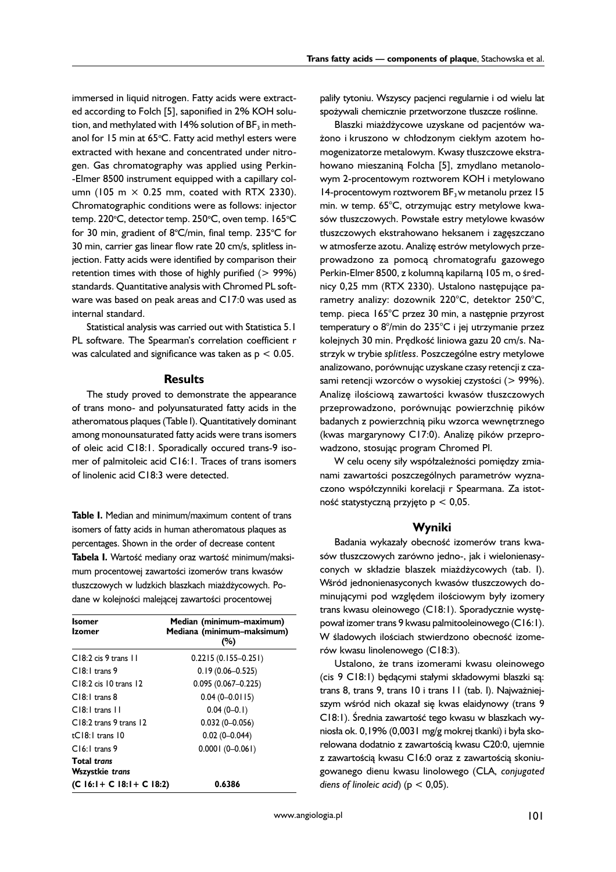immersed in liquid nitrogen. Fatty acids were extracted according to Folch [5], saponified in 2% KOH solution, and methylated with 14% solution of  $BF_3$  in methanol for 15 min at 65°C. Fatty acid methyl esters were extracted with hexane and concentrated under nitrogen. Gas chromatography was applied using Perkin- -Elmer 8500 instrument equipped with a capillary column (105 m  $\times$  0.25 mm, coated with RTX 2330). Chromatographic conditions were as follows: injector temp. 220°C, detector temp. 250°C, oven temp. 165°C for 30 min, gradient of 8°C/min, final temp. 235°C for 30 min, carrier gas linear flow rate 20 cm/s, splitless injection. Fatty acids were identified by comparison their retention times with those of highly purified  $(> 99\%)$ standards. Quantitative analysis with Chromed PL software was based on peak areas and C17:0 was used as internal standard.

Statistical analysis was carried out with Statistica 5.1 PL software. The Spearman's correlation coefficient r was calculated and significance was taken as  $p < 0.05$ .

#### **Results**

The study proved to demonstrate the appearance of trans mono- and polyunsaturated fatty acids in the atheromatous plaques (Table I). Quantitatively dominant among monounsaturated fatty acids were trans isomers of oleic acid C18:1. Sporadically occured trans-9 isomer of palmitoleic acid C16:1. Traces of trans isomers of linolenic acid C18:3 were detected.

**Table I.** Median and minimum/maximum content of trans isomers of fatty acids in human atheromatous plaques as percentages. Shown in the order of decrease content **Tabela I.** Wartość mediany oraz wartość minimum/maksimum procentowej zawartości izomerów trans kwasów tłuszczowych w ludzkich blaszkach miażdżycowych. Podane w kolejności malejącej zawartości procentowej

| <b>Isomer</b><br><b>Izomer</b>               | Median (minimum-maximum)<br>Mediana (minimum-maksimum)<br>(%) |  |  |  |  |  |  |  |
|----------------------------------------------|---------------------------------------------------------------|--|--|--|--|--|--|--|
| C18:2 cis 9 trans 11                         | $0.2215(0.155-0.251)$                                         |  |  |  |  |  |  |  |
| $C18:1$ trans 9                              | $0.19(0.06 - 0.525)$                                          |  |  |  |  |  |  |  |
| $C18:2$ cis 10 trans 12                      | $0.095(0.067 - 0.225)$                                        |  |  |  |  |  |  |  |
| $C18:1$ trans 8                              | $0.04(0 - 0.0115)$                                            |  |  |  |  |  |  |  |
| $C[8:1]$ trans $\Pi$                         | $0.04(0-0.1)$                                                 |  |  |  |  |  |  |  |
| C18:2 trans 9 trans 12                       | $0.032(0 - 0.056)$                                            |  |  |  |  |  |  |  |
| $tC18:1$ trans $10$                          | $0.02(0 - 0.044)$                                             |  |  |  |  |  |  |  |
| $C16:1$ trans 9                              | $0.0001(0 - 0.061)$                                           |  |  |  |  |  |  |  |
| <b>Total trans</b><br><b>Wszystkie trans</b> |                                                               |  |  |  |  |  |  |  |
| $(C 16:1 + C 18:1 + C 18:2)$                 | 0.6386                                                        |  |  |  |  |  |  |  |

paliły tytoniu. Wszyscy pacjenci regularnie i od wielu lat spożywali chemicznie przetworzone tłuszcze roślinne.

Blaszki miażdżycowe uzyskane od pacjentów ważono i kruszono w chłodzonym ciekłym azotem homogenizatorze metalowym. Kwasy tłuszczowe ekstrahowano mieszaniną Folcha [5], zmydlano metanolowym 2-procentowym roztworem KOH i metylowano 14-procentowym roztworem BF<sub>3</sub> w metanolu przez 15 min. w temp. 65°C, otrzymując estry metylowe kwasów tłuszczowych. Powstałe estry metylowe kwasów tłuszczowych ekstrahowano heksanem i zagęszczano w atmosferze azotu. Analizę estrów metylowych przeprowadzono za pomocą chromatografu gazowego Perkin-Elmer 8500, z kolumną kapilarną 105 m, o średnicy 0,25 mm (RTX 2330). Ustalono następujące parametry analizy: dozownik 220°C, detektor 250°C, temp. pieca 165°C przez 30 min, a następnie przyrost temperatury o 8°/min do 235°C i jej utrzymanie przez kolejnych 30 min. Prędkość liniowa gazu 20 cm/s. Nastrzyk w trybie *splitless*. Poszczególne estry metylowe analizowano, porównując uzyskane czasy retencji z czasami retencji wzorców o wysokiej czystości (> 99%). Analizę ilościową zawartości kwasów tłuszczowych przeprowadzono, porównując powierzchnię pików badanych z powierzchnią piku wzorca wewnętrznego (kwas margarynowy C17:0). Analizę pików przeprowadzono, stosując program Chromed Pl.

W celu oceny siły współzależności pomiędzy zmianami zawartości poszczególnych parametrów wyznaczono współczynniki korelacji r Spearmana. Za istotność statystyczną przyjęto p < 0,05.

#### **Wyniki**

Badania wykazały obecność izomerów trans kwasów tłuszczowych zarówno jedno-, jak i wielonienasyconych w składzie blaszek miażdżycowych (tab. I). Wśród jednonienasyconych kwasów tłuszczowych dominującymi pod względem ilościowym były izomery trans kwasu oleinowego (C18:1). Sporadycznie występował izomer trans 9 kwasu palmitooleinowego (C16:1). W śladowych ilościach stwierdzono obecność izomerów kwasu linolenowego (C18:3).

Ustalono, że trans izomerami kwasu oleinowego (cis 9 C18:1) będącymi stałymi składowymi blaszki są: trans 8, trans 9, trans 10 i trans 11 (tab. I). Najważniejszym wśród nich okazał się kwas elaidynowy (trans 9 C18:1). Średnia zawartość tego kwasu w blaszkach wyniosła ok. 0,19% (0,0031 mg/g mokrej tkanki) i była skorelowana dodatnio z zawartością kwasu C20:0, ujemnie z zawartością kwasu C16:0 oraz z zawartością skoniugowanego dienu kwasu linolowego (CLA, *conjugated diens of linoleic acid*) ( $p < 0.05$ ).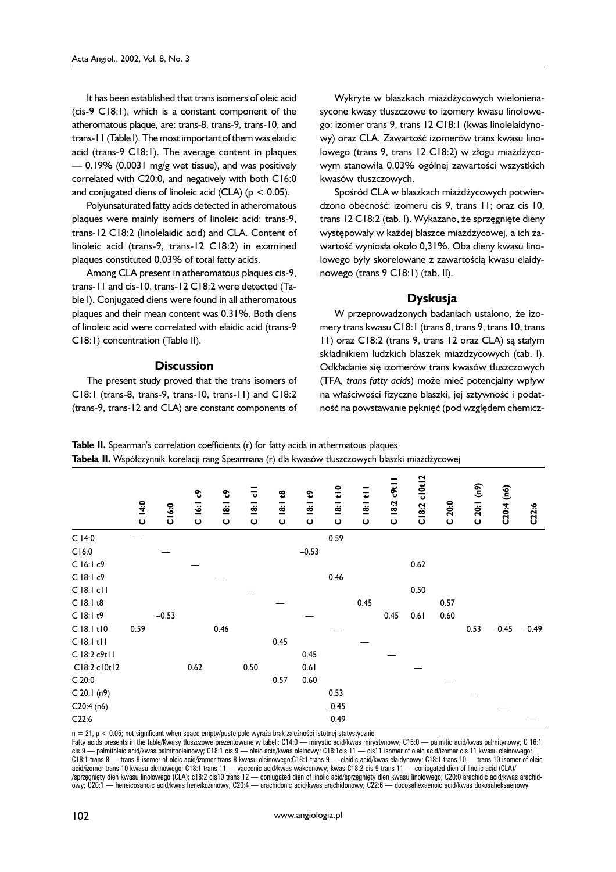It has been established that trans isomers of oleic acid (cis-9 C18:1), which is a constant component of the atheromatous plaque, are: trans-8, trans-9, trans-10, and trans-11 (Table I). The most important of them was elaidic acid (trans-9 C18:1). The average content in plaques  $-$  0.19% (0.0031 mg/g wet tissue), and was positively correlated with C20:0, and negatively with both C16:0 and conjugated diens of linoleic acid (CLA) ( $p < 0.05$ ).

Polyunsaturated fatty acids detected in atheromatous plaques were mainly isomers of linoleic acid: trans-9, trans-12 C18:2 (linolelaidic acid) and CLA. Content of linoleic acid (trans-9, trans-12 C18:2) in examined plaques constituted 0.03% of total fatty acids.

Among CLA present in atheromatous plaques cis-9, trans-11 and cis-10, trans-12 C18:2 were detected (Table I). Conjugated diens were found in all atheromatous plaques and their mean content was 0.31%. Both diens of linoleic acid were correlated with elaidic acid (trans-9 C18:1) concentration (Table II).

#### **Discussion**

The present study proved that the trans isomers of C18:1 (trans-8, trans-9, trans-10, trans-11) and C18:2 (trans-9, trans-12 and CLA) are constant components of

Wykryte w blaszkach miażdżycowych wielonienasycone kwasy tłuszczowe to izomery kwasu linolowego: izomer trans 9, trans 12 C18:1 (kwas linolelaidynowy) oraz CLA. Zawartość izomerów trans kwasu linolowego (trans 9, trans 12 C18:2) w złogu miażdżycowym stanowiła 0,03% ogólnej zawartości wszystkich kwasów tłuszczowych.

Spośród CLA w blaszkach miażdżycowych potwierdzono obecność: izomeru cis 9, trans 11; oraz cis 10, trans 12 C18:2 (tab. I). Wykazano, że sprzęgnięte dieny występowały w każdej blaszce miażdżycowej, a ich zawartość wyniosła około 0,31%. Oba dieny kwasu linolowego były skorelowane z zawartością kwasu elaidynowego (trans 9 C18:1) (tab. II).

## **Dyskusja**

W przeprowadzonych badaniach ustalono, że izomery trans kwasu C18:1 (trans 8, trans 9, trans 10, trans 11) oraz C18:2 (trans 9, trans 12 oraz CLA) są stałym składnikiem ludzkich blaszek miażdżycowych (tab. I). Odkładanie się izomerów trans kwasów tłuszczowych (TFA, *trans fatty acids*) może mieć potencjalny wpływ na właściwości fizyczne blaszki, jej sztywność i podatność na powstawanie pęknięć (pod względem chemicz-

**Table II.** Spearman's correlation coefficients (r) for fatty acids in athermatous plaques **Tabela II.** Współczynnik korelacji rang Spearmana (r) dla kwasów tłuszczowych blaszki miażdżycowej

|                                                                                                                                                                                                                                                                                                                                                                                                                                                                                                                                                                                                                                                                                                                                                                                                                                                                                                                                                                                                                                                                                                                                          | C14:0 | <b>C16:0</b> | <b>C</b> 16:1 c9 | ೪<br>$\frac{1}{8}$<br>Ō | ಕ<br>$\frac{1}{8}$<br>$\mathbf{o}$ | 48<br>$\overline{181}$<br>$\mathbf \omega$ | ¢<br>18:1<br>$\mathbf{o}$ | $18:1$ t <sub>10</sub><br>$\mathbf{o}$ | ₹<br>$\frac{1}{8}$<br>$\mathbf{o}$ | $c$ 9ti<br><b>18:2</b><br>$\mathbf{o}$ | c10t12<br>C18:2 | C20:0 | C 20:1 (n9) | C20:4 (n6) | C22:6   |
|------------------------------------------------------------------------------------------------------------------------------------------------------------------------------------------------------------------------------------------------------------------------------------------------------------------------------------------------------------------------------------------------------------------------------------------------------------------------------------------------------------------------------------------------------------------------------------------------------------------------------------------------------------------------------------------------------------------------------------------------------------------------------------------------------------------------------------------------------------------------------------------------------------------------------------------------------------------------------------------------------------------------------------------------------------------------------------------------------------------------------------------|-------|--------------|------------------|-------------------------|------------------------------------|--------------------------------------------|---------------------------|----------------------------------------|------------------------------------|----------------------------------------|-----------------|-------|-------------|------------|---------|
| $C$ 14:0                                                                                                                                                                                                                                                                                                                                                                                                                                                                                                                                                                                                                                                                                                                                                                                                                                                                                                                                                                                                                                                                                                                                 |       |              |                  |                         |                                    |                                            |                           | 0.59                                   |                                    |                                        |                 |       |             |            |         |
| C16:0                                                                                                                                                                                                                                                                                                                                                                                                                                                                                                                                                                                                                                                                                                                                                                                                                                                                                                                                                                                                                                                                                                                                    |       |              |                  |                         |                                    |                                            | $-0.53$                   |                                        |                                    |                                        |                 |       |             |            |         |
| $C$ 16:1 $c$ 9                                                                                                                                                                                                                                                                                                                                                                                                                                                                                                                                                                                                                                                                                                                                                                                                                                                                                                                                                                                                                                                                                                                           |       |              |                  |                         |                                    |                                            |                           |                                        |                                    |                                        | 0.62            |       |             |            |         |
| $C$ 18:1 $c$ 9                                                                                                                                                                                                                                                                                                                                                                                                                                                                                                                                                                                                                                                                                                                                                                                                                                                                                                                                                                                                                                                                                                                           |       |              |                  |                         |                                    |                                            |                           | 0.46                                   |                                    |                                        |                 |       |             |            |         |
| $C$ 18:1 $c$ 11                                                                                                                                                                                                                                                                                                                                                                                                                                                                                                                                                                                                                                                                                                                                                                                                                                                                                                                                                                                                                                                                                                                          |       |              |                  |                         |                                    |                                            |                           |                                        |                                    |                                        | 0.50            |       |             |            |         |
| C 18:1 t8                                                                                                                                                                                                                                                                                                                                                                                                                                                                                                                                                                                                                                                                                                                                                                                                                                                                                                                                                                                                                                                                                                                                |       |              |                  |                         |                                    |                                            |                           |                                        | 0.45                               |                                        |                 | 0.57  |             |            |         |
| $C$ 18:1 $t9$                                                                                                                                                                                                                                                                                                                                                                                                                                                                                                                                                                                                                                                                                                                                                                                                                                                                                                                                                                                                                                                                                                                            |       | $-0.53$      |                  |                         |                                    |                                            |                           |                                        |                                    | 0.45                                   | 0.61            | 0.60  |             |            |         |
| $C$ 18:1 $t$ 10                                                                                                                                                                                                                                                                                                                                                                                                                                                                                                                                                                                                                                                                                                                                                                                                                                                                                                                                                                                                                                                                                                                          | 0.59  |              |                  | 0.46                    |                                    |                                            |                           |                                        |                                    |                                        |                 |       | 0.53        | $-0.45$    | $-0.49$ |
| $C$ 18:1 tl $I$                                                                                                                                                                                                                                                                                                                                                                                                                                                                                                                                                                                                                                                                                                                                                                                                                                                                                                                                                                                                                                                                                                                          |       |              |                  |                         |                                    | 0.45                                       |                           |                                        |                                    |                                        |                 |       |             |            |         |
| C 18:2 c9t11                                                                                                                                                                                                                                                                                                                                                                                                                                                                                                                                                                                                                                                                                                                                                                                                                                                                                                                                                                                                                                                                                                                             |       |              |                  |                         |                                    |                                            | 0.45                      |                                        |                                    |                                        |                 |       |             |            |         |
| C18:2 c10t12                                                                                                                                                                                                                                                                                                                                                                                                                                                                                                                                                                                                                                                                                                                                                                                                                                                                                                                                                                                                                                                                                                                             |       |              | 0.62             |                         | 0.50                               |                                            | 0.61                      |                                        |                                    |                                        |                 |       |             |            |         |
| C 20:0                                                                                                                                                                                                                                                                                                                                                                                                                                                                                                                                                                                                                                                                                                                                                                                                                                                                                                                                                                                                                                                                                                                                   |       |              |                  |                         |                                    | 0.57                                       | 0.60                      |                                        |                                    |                                        |                 |       |             |            |         |
| C 20:1 (n9)                                                                                                                                                                                                                                                                                                                                                                                                                                                                                                                                                                                                                                                                                                                                                                                                                                                                                                                                                                                                                                                                                                                              |       |              |                  |                         |                                    |                                            |                           | 0.53                                   |                                    |                                        |                 |       |             |            |         |
| C20:4(n6)                                                                                                                                                                                                                                                                                                                                                                                                                                                                                                                                                                                                                                                                                                                                                                                                                                                                                                                                                                                                                                                                                                                                |       |              |                  |                         |                                    |                                            |                           | $-0.45$                                |                                    |                                        |                 |       |             |            |         |
| C22:6                                                                                                                                                                                                                                                                                                                                                                                                                                                                                                                                                                                                                                                                                                                                                                                                                                                                                                                                                                                                                                                                                                                                    |       |              |                  |                         |                                    |                                            |                           | $-0.49$                                |                                    |                                        |                 |       |             |            |         |
| $n = 21$ , $p < 0.05$ ; not significant when space empty/puste pole wyraża brak zależności istotnej statystycznie<br>Fatty acids presents in the table/Kwasy tluszczowe prezentowane w tabeli: C14:0 — mirystic acid/kwas mirystynowy; C16:0 — palmitic acid/kwas palmitynowy; C 16:1<br>$\text{cis } 9$ — palmitoleic acid/kwas palmitooleinowy; C18:1 cis $9$ — oleic acid/kwas oleinowy; C18:1cis 11 — cis11 isomer of oleic acid/izomer cis 11 kwasu oleinowego;<br>C18:1 trans 8 — trans 8 isomer of oleic acid/izomer trans 8 kwasu oleinowego;C18:1 trans 9 — elaidic acid/kwas elaidynowy; C18:1 trans 10 — trans 10 isomer of oleic<br>acid/izomer trans 10 kwasu oleinowego; C18:1 trans 11 — vaccenic acid/kwas wakcenowy; kwas C18:2 cis 9 trans 11 — coniugated dien of linolic acid (CLA)/<br>/sprzegnięty dien kwasu linolowego (CLA); c18:2 cis10 trans 12 — coniugated dien of linolic acid/sprzegnięty dien kwasu linolowego; C20:0 arachidic acid/kwas arachid-<br>owy; C20:1 — heneicosanoic acid/kwas heneikozanowy; C20:4 — arachidonic acid/kwas arachidonowy; C22:6 — docosahexaenoic acid/kwas dokosaheksaenowy |       |              |                  |                         |                                    |                                            |                           |                                        |                                    |                                        |                 |       |             |            |         |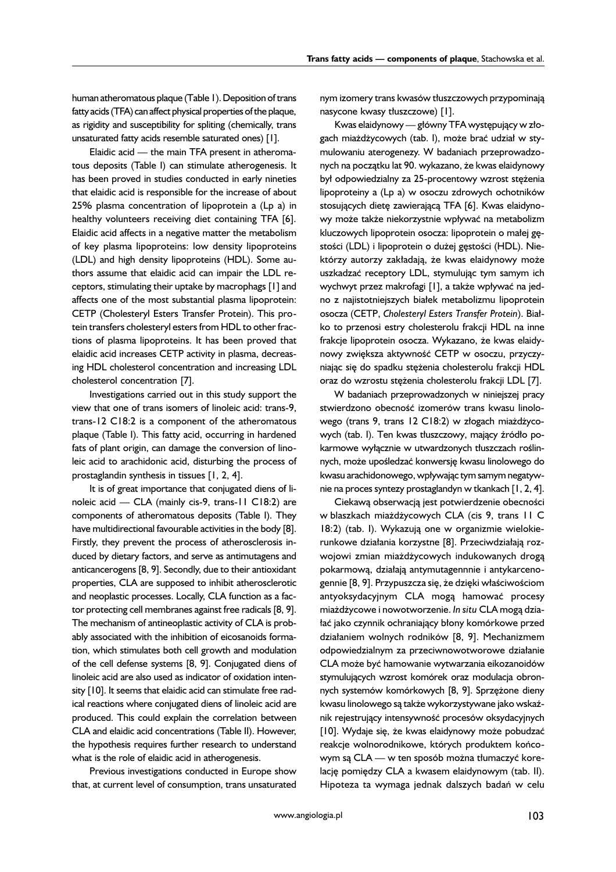human atheromatous plaque (Table 1). Deposition of trans fatty acids (TFA) can affect physical properties of the plaque, as rigidity and susceptibility for spliting (chemically, trans unsaturated fatty acids resemble saturated ones) [1].

Elaidic acid - the main TFA present in atheromatous deposits (Table I) can stimulate atherogenesis. It has been proved in studies conducted in early nineties that elaidic acid is responsible for the increase of about 25% plasma concentration of lipoprotein a (Lp a) in healthy volunteers receiving diet containing TFA [6]. Elaidic acid affects in a negative matter the metabolism of key plasma lipoproteins: low density lipoproteins (LDL) and high density lipoproteins (HDL). Some authors assume that elaidic acid can impair the LDL receptors, stimulating their uptake by macrophags [1] and affects one of the most substantial plasma lipoprotein: CETP (Cholesteryl Esters Transfer Protein). This protein transfers cholesteryl esters from HDL to other fractions of plasma lipoproteins. It has been proved that elaidic acid increases CETP activity in plasma, decreasing HDL cholesterol concentration and increasing LDL cholesterol concentration [7].

Investigations carried out in this study support the view that one of trans isomers of linoleic acid: trans-9, trans-12 C18:2 is a component of the atheromatous plaque (Table I). This fatty acid, occurring in hardened fats of plant origin, can damage the conversion of linoleic acid to arachidonic acid, disturbing the process of prostaglandin synthesis in tissues [1, 2, 4].

It is of great importance that conjugated diens of linoleic acid –– CLA (mainly cis-9, trans-11 C18:2) are components of atheromatous deposits (Table I). They have multidirectional favourable activities in the body [8]. Firstly, they prevent the process of atherosclerosis induced by dietary factors, and serve as antimutagens and anticancerogens [8, 9]. Secondly, due to their antioxidant properties, CLA are supposed to inhibit atherosclerotic and neoplastic processes. Locally, CLA function as a factor protecting cell membranes against free radicals [8, 9]. The mechanism of antineoplastic activity of CLA is probably associated with the inhibition of eicosanoids formation, which stimulates both cell growth and modulation of the cell defense systems [8, 9]. Conjugated diens of linoleic acid are also used as indicator of oxidation intensity [10]. It seems that elaidic acid can stimulate free radical reactions where conjugated diens of linoleic acid are produced. This could explain the correlation between CLA and elaidic acid concentrations (Table II). However, the hypothesis requires further research to understand what is the role of elaidic acid in atherogenesis.

Previous investigations conducted in Europe show that, at current level of consumption, trans unsaturated

nym izomery trans kwasów tłuszczowych przypominają nasycone kwasy tłuszczowe) [1].

Kwas elaidynowy — główny TFA występujący w złogach miażdżycowych (tab. I), może brać udział w stymulowaniu aterogenezy. W badaniach przeprowadzonych na początku lat 90. wykazano, że kwas elaidynowy był odpowiedzialny za 25-procentowy wzrost stężenia lipoproteiny a (Lp a) w osoczu zdrowych ochotników stosujących dietę zawierającą TFA [6]. Kwas elaidynowy może także niekorzystnie wpływać na metabolizm kluczowych lipoprotein osocza: lipoprotein o małej gęstości (LDL) i lipoprotein o dużej gęstości (HDL). Niektórzy autorzy zakładają, że kwas elaidynowy może uszkadzać receptory LDL, stymulując tym samym ich wychwyt przez makrofagi [1], a także wpływać na jedno z najistotniejszych białek metabolizmu lipoprotein osocza (CETP, *Cholesteryl Esters Transfer Protein*). Białko to przenosi estry cholesterolu frakcji HDL na inne frakcje lipoprotein osocza. Wykazano, że kwas elaidynowy zwiększa aktywność CETP w osoczu, przyczyniając się do spadku stężenia cholesterolu frakcji HDL oraz do wzrostu stężenia cholesterolu frakcji LDL [7].

W badaniach przeprowadzonych w niniejszej pracy stwierdzono obecność izomerów trans kwasu linolowego (trans 9, trans 12 C18:2) w złogach miażdżycowych (tab. I). Ten kwas tłuszczowy, mający źródło pokarmowe wyłącznie w utwardzonych tłuszczach roślinnych, może upośledzać konwersję kwasu linolowego do kwasu arachidonowego, wpływając tym samym negatywnie na proces syntezy prostaglandyn w tkankach [1, 2, 4].

Ciekawą obserwacją jest potwierdzenie obecności w blaszkach miażdżycowych CLA (cis 9, trans 11 C 18:2) (tab. I). Wykazują one w organizmie wielokierunkowe działania korzystne [8]. Przeciwdziałają rozwojowi zmian miażdżycowych indukowanych drogą pokarmową, działają antymutagennnie i antykarcenogennie [8, 9]. Przypuszcza się, że dzięki właściwościom antyoksydacyjnym CLA mogą hamować procesy miażdżycowe i nowotworzenie. *In situ* CLA mogą działać jako czynnik ochraniający błony komórkowe przed działaniem wolnych rodników [8, 9]. Mechanizmem odpowiedzialnym za przeciwnowotworowe działanie CLA może być hamowanie wytwarzania eikozanoidów stymulujących wzrost komórek oraz modulacja obronnych systemów komórkowych [8, 9]. Sprzężone dieny kwasu linolowego są także wykorzystywane jako wskaźnik rejestrujący intensywność procesów oksydacyjnych [10]. Wydaje się, że kwas elaidynowy może pobudzać reakcje wolnorodnikowe, których produktem końcowym są CLA — w ten sposób można tłumaczyć korelację pomiędzy CLA a kwasem elaidynowym (tab. II). Hipoteza ta wymaga jednak dalszych badań w celu